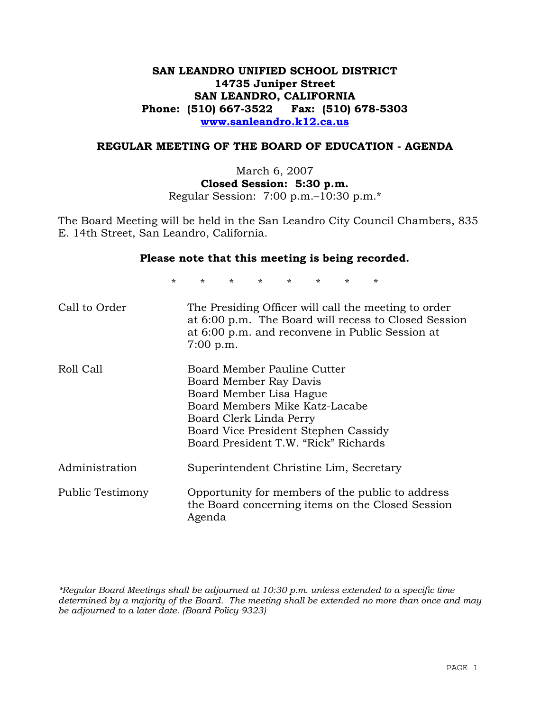# **SAN LEANDRO UNIFIED SCHOOL DISTRICT 14735 Juniper Street SAN LEANDRO, CALIFORNIA Phone: (510) 667-3522 Fax: (510) 678-5303 www.sanleandro.k12.ca.us**

#### **REGULAR MEETING OF THE BOARD OF EDUCATION - AGENDA**

March 6, 2007 **Closed Session: 5:30 p.m.**  Regular Session: 7:00 p.m.–10:30 p.m.\*

The Board Meeting will be held in the San Leandro City Council Chambers, 835 E. 14th Street, San Leandro, California.

#### **Please note that this meeting is being recorded.**

\* \* \* \* \* \* \* \*

| Call to Order    | The Presiding Officer will call the meeting to order<br>at 6:00 p.m. The Board will recess to Closed Session<br>at 6:00 p.m. and reconvene in Public Session at<br>7:00 p.m.                                                  |
|------------------|-------------------------------------------------------------------------------------------------------------------------------------------------------------------------------------------------------------------------------|
| Roll Call        | Board Member Pauline Cutter<br>Board Member Ray Davis<br>Board Member Lisa Hague<br>Board Members Mike Katz-Lacabe<br>Board Clerk Linda Perry<br>Board Vice President Stephen Cassidy<br>Board President T.W. "Rick" Richards |
| Administration   | Superintendent Christine Lim, Secretary                                                                                                                                                                                       |
| Public Testimony | Opportunity for members of the public to address<br>the Board concerning items on the Closed Session<br>Agenda                                                                                                                |

*\*Regular Board Meetings shall be adjourned at 10:30 p.m. unless extended to a specific time determined by a majority of the Board. The meeting shall be extended no more than once and may be adjourned to a later date. (Board Policy 9323)*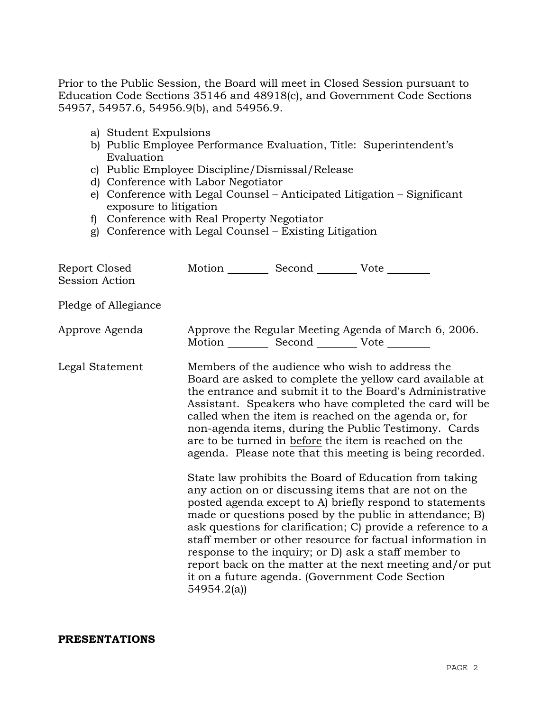Prior to the Public Session, the Board will meet in Closed Session pursuant to Education Code Sections 35146 and 48918(c), and Government Code Sections 54957, 54957.6, 54956.9(b), and 54956.9.

- a) Student Expulsions
- b) Public Employee Performance Evaluation, Title: Superintendent's Evaluation
- c) Public Employee Discipline/Dismissal/Release
- d) Conference with Labor Negotiator
- e) Conference with Legal Counsel Anticipated Litigation Significant exposure to litigation
- f) Conference with Real Property Negotiator
- g) Conference with Legal Counsel Existing Litigation

| Report Closed<br>Session Action | Motion __________ Second __________ Vote ________ |                                                                                                                                                                                                                                                                                                                                                                                                                                                                                                                                                                                                                                                                                                                                                                                                                                                                                                                                                                                                                        |
|---------------------------------|---------------------------------------------------|------------------------------------------------------------------------------------------------------------------------------------------------------------------------------------------------------------------------------------------------------------------------------------------------------------------------------------------------------------------------------------------------------------------------------------------------------------------------------------------------------------------------------------------------------------------------------------------------------------------------------------------------------------------------------------------------------------------------------------------------------------------------------------------------------------------------------------------------------------------------------------------------------------------------------------------------------------------------------------------------------------------------|
| Pledge of Allegiance            |                                                   |                                                                                                                                                                                                                                                                                                                                                                                                                                                                                                                                                                                                                                                                                                                                                                                                                                                                                                                                                                                                                        |
| Approve Agenda                  | Motion __________ Second __________ Vote ________ | Approve the Regular Meeting Agenda of March 6, 2006.                                                                                                                                                                                                                                                                                                                                                                                                                                                                                                                                                                                                                                                                                                                                                                                                                                                                                                                                                                   |
| Legal Statement                 | 54954.2(a)                                        | Members of the audience who wish to address the<br>Board are asked to complete the yellow card available at<br>the entrance and submit it to the Board's Administrative<br>Assistant. Speakers who have completed the card will be<br>called when the item is reached on the agenda or, for<br>non-agenda items, during the Public Testimony. Cards<br>are to be turned in before the item is reached on the<br>agenda. Please note that this meeting is being recorded.<br>State law prohibits the Board of Education from taking<br>any action on or discussing items that are not on the<br>posted agenda except to A) briefly respond to statements<br>made or questions posed by the public in attendance; B)<br>ask questions for clarification; C) provide a reference to a<br>staff member or other resource for factual information in<br>response to the inquiry; or D) ask a staff member to<br>report back on the matter at the next meeting and/or put<br>it on a future agenda. (Government Code Section |

#### **PRESENTATIONS**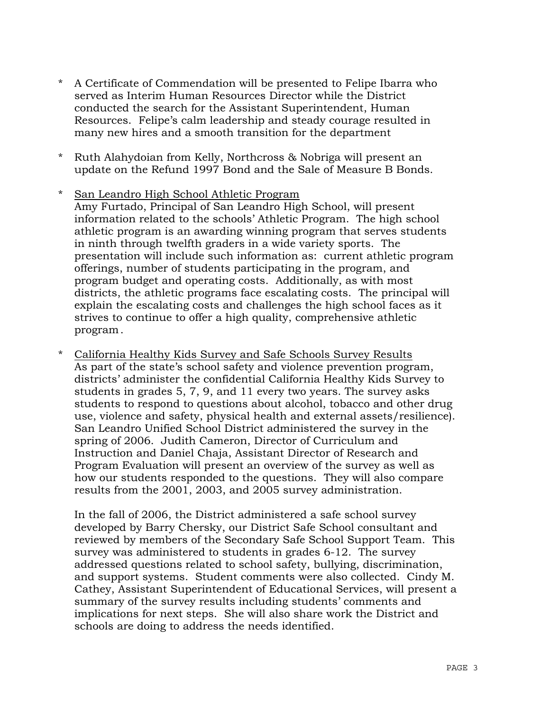- \* A Certificate of Commendation will be presented to Felipe Ibarra who served as Interim Human Resources Director while the District conducted the search for the Assistant Superintendent, Human Resources. Felipe's calm leadership and steady courage resulted in many new hires and a smooth transition for the department
- \* Ruth Alahydoian from Kelly, Northcross & Nobriga will present an update on the Refund 1997 Bond and the Sale of Measure B Bonds.
- \* San Leandro High School Athletic Program Amy Furtado, Principal of San Leandro High School, will present information related to the schools' Athletic Program. The high school athletic program is an awarding winning program that serves students in ninth through twelfth graders in a wide variety sports. The presentation will include such information as: current athletic program offerings, number of students participating in the program, and program budget and operating costs. Additionally, as with most districts, the athletic programs face escalating costs. The principal will explain the escalating costs and challenges the high school faces as it strives to continue to offer a high quality, comprehensive athletic program.
- \* California Healthy Kids Survey and Safe Schools Survey Results As part of the state's school safety and violence prevention program, districts' administer the confidential California Healthy Kids Survey to students in grades 5, 7, 9, and 11 every two years. The survey asks students to respond to questions about alcohol, tobacco and other drug use, violence and safety, physical health and external assets/resilience). San Leandro Unified School District administered the survey in the spring of 2006. Judith Cameron, Director of Curriculum and Instruction and Daniel Chaja, Assistant Director of Research and Program Evaluation will present an overview of the survey as well as how our students responded to the questions. They will also compare results from the 2001, 2003, and 2005 survey administration.

 In the fall of 2006, the District administered a safe school survey developed by Barry Chersky, our District Safe School consultant and reviewed by members of the Secondary Safe School Support Team. This survey was administered to students in grades 6-12. The survey addressed questions related to school safety, bullying, discrimination, and support systems. Student comments were also collected. Cindy M. Cathey, Assistant Superintendent of Educational Services, will present a summary of the survey results including students' comments and implications for next steps. She will also share work the District and schools are doing to address the needs identified.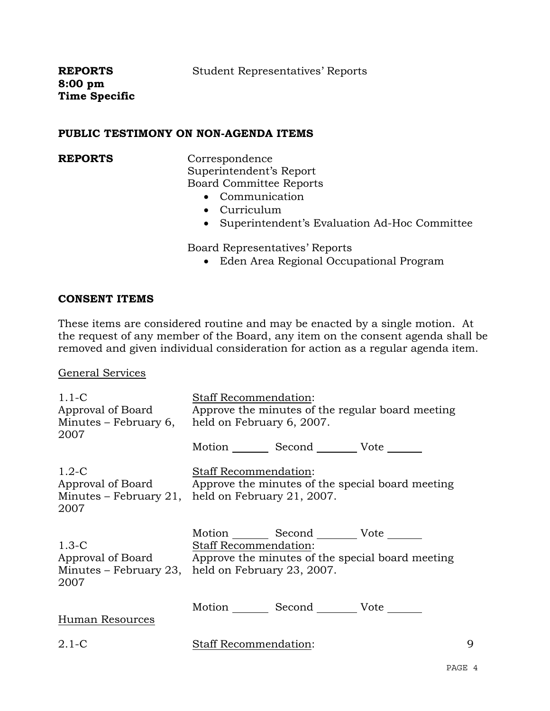**REPORTS 8:00 pm Time Specific** 

#### **PUBLIC TESTIMONY ON NON-AGENDA ITEMS**

**REPORTS** Correspondence Superintendent's Report Board Committee Reports

- Communication
- Curriculum
- Superintendent's Evaluation Ad-Hoc Committee

Board Representatives' Reports

• Eden Area Regional Occupational Program

#### **CONSENT ITEMS**

These items are considered routine and may be enacted by a single motion. At the request of any member of the Board, any item on the consent agenda shall be removed and given individual consideration for action as a regular agenda item.

#### General Services

| $1.1 - C$<br>Approval of Board<br>Minutes – February 6,<br>2007 | <b>Staff Recommendation:</b><br>Approve the minutes of the regular board meeting<br>held on February 6, 2007.                                                                                       |   |  |  |
|-----------------------------------------------------------------|-----------------------------------------------------------------------------------------------------------------------------------------------------------------------------------------------------|---|--|--|
|                                                                 | Motion Second Vote ______                                                                                                                                                                           |   |  |  |
| $1.2-C$<br>2007                                                 | Staff Recommendation:<br>Approval of Board Approve the minutes of the special board meeting<br>Minutes – February 21, held on February 21, 2007.                                                    |   |  |  |
| $1.3-C$<br>2007                                                 | Motion _________ Second __________ Vote _______<br>Staff Recommendation:<br>Approval of Board Approve the minutes of the special board meeting<br>Minutes – February 23, held on February 23, 2007. |   |  |  |
| Human Resources                                                 | Motion _________ Second __________ Vote _______                                                                                                                                                     |   |  |  |
| $2.1-C$                                                         | Staff Recommendation:                                                                                                                                                                               | 9 |  |  |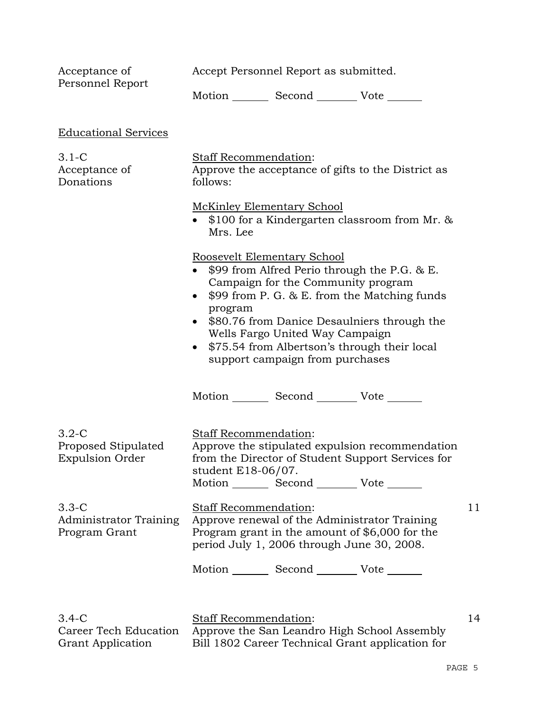Accept Personnel Report as submitted.

Acceptance of Personnel Report

Motion \_\_\_\_\_\_\_\_ Second \_\_\_\_\_\_\_\_\_ Vote \_\_\_\_\_\_\_

| <b>Educational Services</b>                                    |                                                                                                                                                                                                                                                                                                                                                                   |    |  |
|----------------------------------------------------------------|-------------------------------------------------------------------------------------------------------------------------------------------------------------------------------------------------------------------------------------------------------------------------------------------------------------------------------------------------------------------|----|--|
| $3.1-C$<br>Acceptance of<br>Donations                          | Staff Recommendation:<br>Approve the acceptance of gifts to the District as<br>follows:                                                                                                                                                                                                                                                                           |    |  |
|                                                                | <b>McKinley Elementary School</b><br>• $$100$ for a Kindergarten classroom from Mr. $&$<br>Mrs. Lee                                                                                                                                                                                                                                                               |    |  |
|                                                                | Roosevelt Elementary School<br>• \$99 from Alfred Perio through the P.G. & E.<br>Campaign for the Community program<br>$$99$ from P. G. & E. from the Matching funds<br>program<br>\$80.76 from Danice Desaulniers through the<br>Wells Fargo United Way Campaign<br>\$75.54 from Albertson's through their local<br>$\bullet$<br>support campaign from purchases |    |  |
|                                                                | Motion _________ Second ___________ Vote _______                                                                                                                                                                                                                                                                                                                  |    |  |
| $3.2 - C$<br>Proposed Stipulated<br><b>Expulsion Order</b>     | Staff Recommendation:<br>Approve the stipulated expulsion recommendation<br>from the Director of Student Support Services for<br>student E18-06/07.<br>Motion _________ Second _________ Vote _______                                                                                                                                                             |    |  |
| $3.3-C$<br><b>Administrator Training</b><br>Program Grant      | <b>Staff Recommendation:</b><br>Approve renewal of the Administrator Training<br>Program grant in the amount of \$6,000 for the<br>period July 1, 2006 through June 30, 2008.<br>Motion _________ Second ___________ Vote _______                                                                                                                                 | 11 |  |
|                                                                |                                                                                                                                                                                                                                                                                                                                                                   |    |  |
| $3.4 - C$<br>Career Tech Education<br><b>Grant Application</b> | Staff Recommendation:<br>Approve the San Leandro High School Assembly<br>Bill 1802 Career Technical Grant application for                                                                                                                                                                                                                                         | 14 |  |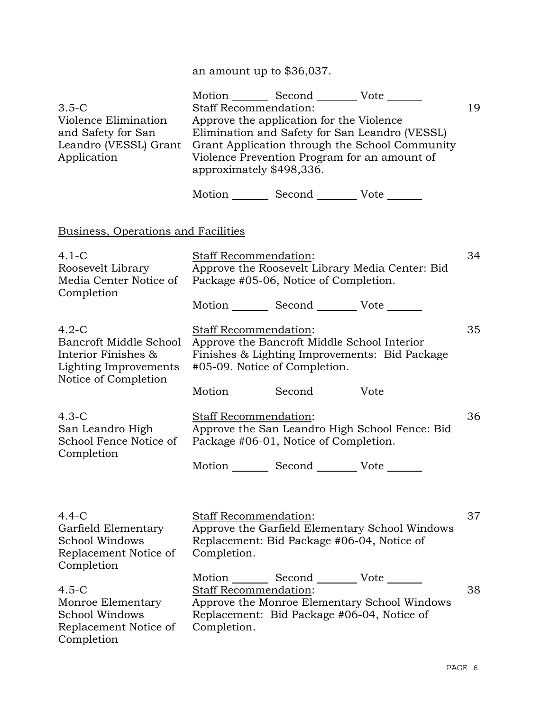# an amount up to \$36,037.

|                                                                                                           | Motion _________ Second __________ Vote _______                                                                                                                                                                                                                                                             |    |
|-----------------------------------------------------------------------------------------------------------|-------------------------------------------------------------------------------------------------------------------------------------------------------------------------------------------------------------------------------------------------------------------------------------------------------------|----|
| $3.5-C$<br>Violence Elimination<br>and Safety for San<br>Leandro (VESSL) Grant<br>Application             | <b>Staff Recommendation:</b><br>Approve the application for the Violence<br>Elimination and Safety for San Leandro (VESSL)<br>Grant Application through the School Community<br>Violence Prevention Program for an amount of<br>approximately \$498,336.<br>Motion _________ Second __________ Vote _______ | 19 |
| Business, Operations and Facilities                                                                       |                                                                                                                                                                                                                                                                                                             |    |
| $4.1-C$<br>Roosevelt Library<br>Media Center Notice of<br>Completion                                      | <b>Staff Recommendation:</b><br>Approve the Roosevelt Library Media Center: Bid<br>Package #05-06, Notice of Completion.                                                                                                                                                                                    | 34 |
|                                                                                                           | Motion _________ Second _________ Vote _______                                                                                                                                                                                                                                                              |    |
| $4.2-C$<br>Bancroft Middle School<br>Interior Finishes &<br>Lighting Improvements<br>Notice of Completion | <b>Staff Recommendation:</b><br>Approve the Bancroft Middle School Interior<br>Finishes & Lighting Improvements: Bid Package<br>#05-09. Notice of Completion.                                                                                                                                               | 35 |
|                                                                                                           | Motion _________ Second __________ Vote _______                                                                                                                                                                                                                                                             |    |
| $4.3-C$<br>San Leandro High<br>School Fence Notice of<br>Completion                                       | Staff Recommendation:<br>Approve the San Leandro High School Fence: Bid<br>Package #06-01, Notice of Completion.<br>Motion _________ Second __________ Vote _______                                                                                                                                         | 36 |
| $4.4-C$<br>Garfield Elementary<br>School Windows<br>Replacement Notice of<br>Completion                   | <b>Staff Recommendation:</b><br>Approve the Garfield Elementary School Windows<br>Replacement: Bid Package #06-04, Notice of<br>Completion.                                                                                                                                                                 | 37 |
| $4.5-C$<br>Monroe Elementary<br>School Windows<br>Replacement Notice of<br>Completion                     | Motion Second Vote<br><b>Staff Recommendation:</b><br>Approve the Monroe Elementary School Windows<br>Replacement: Bid Package #06-04, Notice of<br>Completion.                                                                                                                                             | 38 |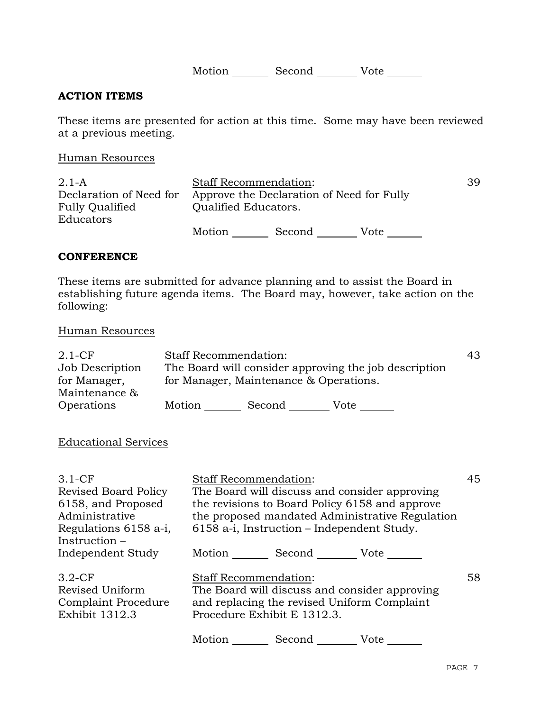Motion \_\_\_\_\_\_\_\_\_ Second \_\_\_\_\_\_\_\_\_ Vote \_\_\_\_\_\_\_

### **ACTION ITEMS**

These items are presented for action at this time. Some may have been reviewed at a previous meeting.

Human Resources

| $2.1 - A$                           | <b>Staff Recommendation:</b> | 39.                                       |      |  |
|-------------------------------------|------------------------------|-------------------------------------------|------|--|
| Declaration of Need for             |                              | Approve the Declaration of Need for Fully |      |  |
| <b>Fully Qualified</b><br>Educators | Qualified Educators.         |                                           |      |  |
|                                     | Motion                       | Second                                    | Vote |  |

#### **CONFERENCE**

These items are submitted for advance planning and to assist the Board in establishing future agenda items. The Board may, however, take action on the following:

#### Human Resources

| $2.1-CF$                                         | <b>Staff Recommendation:</b>                                                                    |        |      | 43 |
|--------------------------------------------------|-------------------------------------------------------------------------------------------------|--------|------|----|
| Job Description<br>for Manager,<br>Maintenance & | The Board will consider approving the job description<br>for Manager, Maintenance & Operations. |        |      |    |
| Operations                                       | Motion                                                                                          | Second | Vote |    |
| <b>Educational Services</b>                      |                                                                                                 |        |      |    |

| $3.1-CF$<br><b>Revised Board Policy</b><br>6158, and Proposed<br>Administrative<br>Regulations 6158 a-i,<br>Instruction- | <b>Staff Recommendation:</b><br>The Board will discuss and consider approving<br>the revisions to Board Policy 6158 and approve<br>the proposed mandated Administrative Regulation<br>6158 a-i, Instruction – Independent Study. |             |      | 45 |
|--------------------------------------------------------------------------------------------------------------------------|----------------------------------------------------------------------------------------------------------------------------------------------------------------------------------------------------------------------------------|-------------|------|----|
| Independent Study                                                                                                        | Motion $\frac{1}{\sqrt{1-\frac{1}{2}}\cdot\frac{1}{\sqrt{1-\frac{1}{2}}}}$                                                                                                                                                       | Second Vote |      |    |
| $3.2-CF$<br>Revised Uniform<br>Complaint Procedure<br><b>Exhibit 1312.3</b>                                              | <b>Staff Recommendation:</b><br>The Board will discuss and consider approving<br>and replacing the revised Uniform Complaint<br>Procedure Exhibit E 1312.3.                                                                      |             |      | 58 |
|                                                                                                                          | Motion                                                                                                                                                                                                                           | Second      | Vote |    |